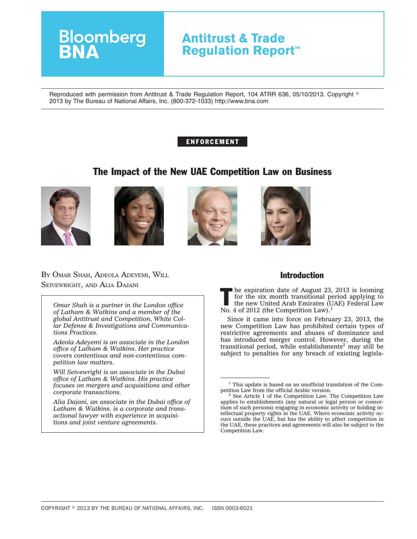# **Antitrust & Trade Regulation Report™**

Reproduced with permission from Antitrust & Trade Regulation Report, 104 ATRR 636, 05/10/2013. Copyright  $^\circ$ 2013 by The Bureau of National Affairs, Inc. (800-372-1033) http://www.bna.com

# ENFORCEMENT

# The Impact of the New UAE Competition Law on Business









# BY OMAR SHAH, ADEOLA ADEYEMI, WILL SEIVEWRIGHT, AND ALIA DAJANI

**Bloomberg**<br>**BNA** 

*Omar Shah is a partner in the London office of Latham & Watkins and a member of the global Antitrust and Competition, White Collar Defense & Investigations and Communications Practices.*

*Adeola Adeyemi is an associate in the London office of Latham & Watkins. Her practice covers contentious and non-contentious competition law matters.*

*Will Seivewright is an associate in the Dubai office of Latham & Watkins. His practice focuses on mergers and acquisitions and other corporate transactions.*

*Alia Dajani, an associate in the Dubai office of Latham & Watkins. is a corporate and transactional lawyer with experience in acquisitions and joint venture agreements.*

# Introduction

 $\blacksquare$  he expiration date of August 23, 2013 is looming for the six month transitional period applying to the new United Arab Emirates (UAE) Federal Law No. 4 of 2012 (the Competition Law).<sup>1</sup>

Since it came into force on February 23, 2013, the new Competition Law has prohibited certain types of restrictive agreements and abuses of dominance and has introduced merger control. However, during the transitional period, while establishments<sup>2</sup> may still be subject to penalties for any breach of existing legisla-

 $1$  This update is based on an unofficial translation of the Competition Law from the official Arabic version.

 $^{\rm 2}$  See Article 1 of the Competition Law. The Competition Law applies to establishments (any natural or legal person or consortium of such persons) engaging in economic activity or holding intellectual property rights in the UAE. Where economic activity occurs outside the UAE, but has the ability to affect competition in the UAE, these practices and agreements will also be subject to the Competition Law.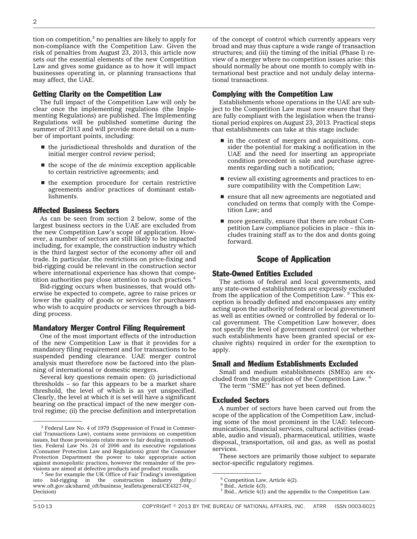tion on competition,<sup>3</sup> no penalties are likely to apply for non-compliance with the Competition Law. Given the risk of penalties from August 23, 2013, this article now sets out the essential elements of the new Competition Law and gives some guidance as to how it will impact businesses operating in, or planning transactions that may affect, the UAE.

### Getting Clarity on the Competition Law

The full impact of the Competition Law will only be clear once the implementing regulations (the Implementing Regulations) are published. The Implementing Regulations will be published sometime during the summer of 2013 and will provide more detail on a number of important points, including:

- $\blacksquare$  the jurisdictional thresholds and duration of the initial merger control review period;
- the scope of the *de minimis* exception applicable to certain restrictive agreements; and
- $\blacksquare$  the exemption procedure for certain restrictive agreements and/or practices of dominant establishments.

#### Affected Business Sectors

As can be seen from section 2 below, some of the largest business sectors in the UAE are excluded from the new Competition Law's scope of application. However, a number of sectors are still likely to be impacted including, for example, the construction industry which is the third largest sector of the economy after oil and trade. In particular, the restrictions on price-fixing and bid-rigging could be relevant in the construction sector where international experience has shown that competition authorities pay close attention to such practices.<sup>4</sup>

Bid-rigging occurs when businesses, that would otherwise be expected to compete, agree to raise prices or lower the quality of goods or services for purchasers who wish to acquire products or services through a bidding process.

#### Mandatory Merger Control Filing Requirement

One of the most important effects of the introduction of the new Competition Law is that it provides for a mandatory filing requirement and for transactions to be suspended pending clearance. UAE merger control analysis must therefore now be factored into the planning of international or domestic mergers.

Several key questions remain open: (i) jurisdictional thresholds – so far this appears to be a market share threshold, the level of which is as yet unspecified. Clearly, the level at which it is set will have a significant bearing on the practical impact of the new merger control regime; (ii) the precise definition and interpretation of the concept of control which currently appears very broad and may thus capture a wide range of transaction structures; and (iii) the timing of the initial (Phase I) review of a merger where no competition issues arise: this should normally be about one month to comply with international best practice and not unduly delay international transactions.

#### Complying with the Competition Law

Establishments whose operations in the UAE are subject to the Competition Law must now ensure that they are fully compliant with the legislation when the transitional period expires on August 23, 2013. Practical steps that establishments can take at this stage include:

- $\blacksquare$  in the context of mergers and acquisitions, consider the potential for making a notification in the UAE and the need for inserting an appropriate condition precedent in sale and purchase agreements regarding such a notification;
- $\blacksquare$  review all existing agreements and practices to ensure compatibility with the Competition Law;
- $\blacksquare$  ensure that all new agreements are negotiated and concluded on terms that comply with the Competition Law; and
- $\blacksquare$  more generally, ensure that there are robust Competition Law compliance policies in place – this includes training staff as to the dos and donts going forward.

### Scope of Application

#### State-Owned Entities Excluded

The actions of federal and local governments, and any state-owned establishments are expressly excluded from the application of the Competition Law. <sup>5</sup> This exception is broadly defined and encompasses any entity acting upon the authority of federal or local government as well as entities owned or controlled by federal or local government. The Competition Law however, does not specify the level of government control (or whether such establishments have been granted special or exclusive rights) required in order for the exemption to apply.

#### Small and Medium Establishments Excluded

Small and medium establishments (SMEs) are excluded from the application of the Competition Law. <sup>6</sup> The term ''SME'' has not yet been defined.

#### Excluded Sectors

A number of sectors have been carved out from the scope of the application of the Competition Law, including some of the most prominent in the UAE: telecommunications, financial services, cultural activities (readable, audio and visual), pharmaceutical, utilities, waste disposal, transportation, oil and gas, as well as postal services.

These sectors are primarily those subject to separate sector-specific regulatory regimes.

<sup>&</sup>lt;sup>3</sup> Federal Law No. 4 of 1979 (Suppression of Fraud in Commercial Transactions Law), contains some provisions on competition issues, but those provisions relate more to fair dealing in commodities. Federal Law No. 24 of 2006 and its executive regulations (Consumer Protection Law and Regulations) grant the Consumer Protection Department the power to take appropriate action against monopolistic practices, however the remainder of the pro-

<sup>&</sup>lt;sup>4</sup> See for example the UK Office of Fair Trading's investigation<br>bid-rigging in the construction industry (http:// into bid-rigging in the construction industry [\(http://](http://www.oft.gov.uk/shared_oft/business_leaflets/general/CE4327-04_Decision) [www.oft.gov.uk/shared\\_oft/business\\_leaflets/general/CE4327-04\\_](http://www.oft.gov.uk/shared_oft/business_leaflets/general/CE4327-04_Decision) [Decision\)](http://www.oft.gov.uk/shared_oft/business_leaflets/general/CE4327-04_Decision)

<sup>5</sup> Competition Law, Article 4(2).

 $6$  Ibid., Article 4(3).

<sup>&</sup>lt;sup>7</sup> Ibid., Article  $4(1)$  and the appendix to the Competition Law.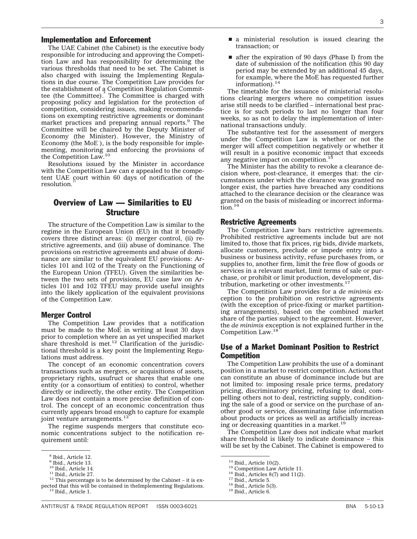#### Implementation and Enforcement

The UAE Cabinet (the Cabinet) is the executive body responsible for introducing and approving the Competition Law and has responsibility for determining the various thresholds that need to be set. The Cabinet is also charged with issuing the Implementing Regulations in due course. The Competition Law provides for the establishment of a Competition Regulation Committee (the Committee). The Committee is charged with proposing policy and legislation for the protection of competition, considering issues, making recommendations on exempting restrictive agreements or dominant market practices and preparing annual reports.<sup>9</sup> The Committee will be chaired by the Deputy Minister of Economy (the Minister). However, the Ministry of Economy (the MoE ), is the body responsible for implementing, monitoring and enforcing the provisions of the Competition Law.<sup>10</sup>

Resolutions issued by the Minister in accordance with the Competition Law can e appealed to the competent UAE court within 60 days of notification of the resolution

# Overview of Law — Similarities to EU **Structure**

The structure of the Competition Law is similar to the regime in the European Union (EU) in that it broadly covers three distinct areas: (i) merger control, (ii) restrictive agreements, and (iii) abuse of dominance. The provisions on restrictive agreements and abuse of dominance are similar to the equivalent EU provisions: Articles 101 and 102 of the Treaty on the Functioning of the European Union (TFEU). Given the similarities between the two sets of provisions, EU case law on Articles 101 and 102 TFEU may provide useful insights into the likely application of the equivalent provisions of the Competition Law.

#### Merger Control

The Competition Law provides that a notification must be made to the MoE in writing at least 30 days prior to completion where an as yet unspecified market share threshold is met.<sup>12</sup> Clarification of the jurisdictional threshold is a key point the Implementing Regulations must address.

The concept of an economic concentration covers transactions such as mergers, or acquisitions of assets, proprietary rights, usufruct or shares that enable one entity (or a consortium of entities) to control, whether directly or indirectly, the other entity. The Competition Law does not contain a more precise definition of control. The concept of an economic concentration thus currently appears broad enough to capture for example joint venture arrangements.<sup>13</sup>

The regime suspends mergers that constitute economic concentrations subject to the notification requirement until:

- $\blacksquare$  a ministerial resolution is issued clearing the transaction; or
- $\blacksquare$  after the expiration of 90 days (Phase I) from the date of submission of the notification (this 90 day period may be extended by an additional 45 days, for example, where the MoE has requested further information).14

The timetable for the issuance of ministerial resolutions clearing mergers where no competition issues arise still needs to be clarified – international best practice is for such periods to last no longer than four weeks, so as not to delay the implementation of international transactions unduly.

The substantive test for the assessment of mergers under the Competition Law is whether or not the merger will affect competition negatively or whether it will result in a positive economic impact that exceeds any negative impact on competition.<sup>15</sup>

The Minister has the ability to revoke a clearance decision where, post-clearance, it emerges that: the circumstances under which the clearance was granted no longer exist, the parties have breached any conditions attached to the clearance decision or the clearance was granted on the basis of misleading or incorrect information.<sup>16</sup>

#### Restrictive Agreements

The Competition Law bars restrictive agreements. Prohibited restrictive agreements include but are not limited to, those that fix prices, rig bids, divide markets, allocate customers, preclude or impede entry into a business or business activity, refuse purchases from, or supplies to, another firm, limit the free flow of goods or services in a relevant market, limit terms of sale or purchase, or prohibit or limit production, development, distribution, marketing or other investments. $1$ 

The Competition Law provides for a *de minimis* exception to the prohibition on restrictive agreements (with the exception of price-fixing or market partitioning arrangements), based on the combined market share of the parties subject to the agreement. However, the *de minimis* exception is not explained further in the Competition Law.18

## Use of a Market Dominant Position to Restrict Competition

The Competition Law prohibits the use of a dominant position in a market to restrict competition. Actions that can constitute an abuse of dominance include but are not limited to: imposing resale price terms, predatory pricing, discriminatory pricing, refusing to deal, compelling others not to deal, restricting supply, conditioning the sale of a good or service on the purchase of another good or service, disseminating false information about products or prices as well as artificially increasing or decreasing quantities in a market.<sup>19</sup>

The Competition Law does not indicate what market share threshold is likely to indicate dominance – this will be set by the Cabinet. The Cabinet is empowered to

<sup>8</sup> Ibid., Article 12.

 $<sup>9</sup>$  Ibid., Article 13.<br> $<sup>10</sup>$  Ibid., Article 14.</sup></sup>

<sup>&</sup>lt;sup>11</sup> Ibid., Article 27. 12 This percentage is to be determined by the Cabinet – it is expected that this will be contained in theImplementing Regulations. <sup>13</sup> Ibid., Article 1.

<sup>&</sup>lt;sup>14</sup> Ibid., Article 10(2). <sup>15</sup> Competition Law Article 11.<br><sup>15</sup> Ibid., Articles 8(7) and 11(2). <sup>17</sup> Ibid., Article 5. 18<br><sup>18</sup> Ibid., Article 5. 19 Ibid., Article 6.